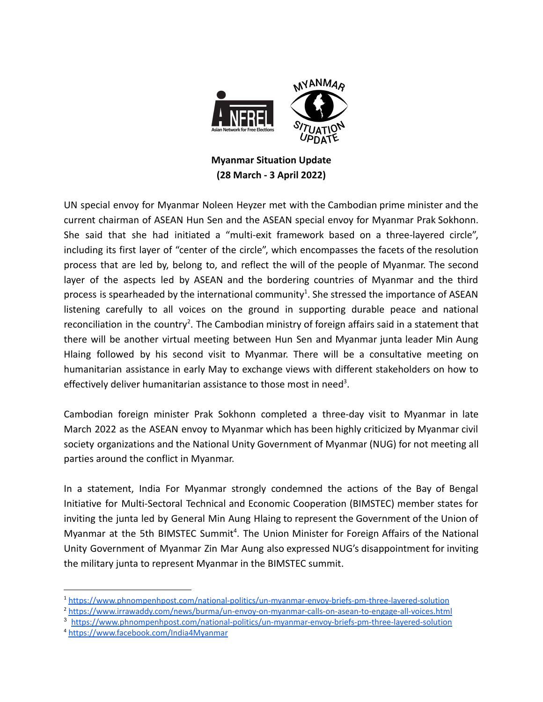

**Myanmar Situation Update (28 March - 3 April 2022)**

UN special envoy for Myanmar Noleen Heyzer met with the Cambodian prime minister and the current chairman of ASEAN Hun Sen and the ASEAN special envoy for Myanmar Prak Sokhonn. She said that she had initiated a "multi-exit framework based on a three-layered circle", including its first layer of "center of the circle", which encompasses the facets of the resolution process that are led by, belong to, and reflect the will of the people of Myanmar. The second layer of the aspects led by ASEAN and the bordering countries of Myanmar and the third process is spearheaded by the international community<sup>1</sup>. She stressed the importance of ASEAN listening carefully to all voices on the ground in supporting durable peace and national reconciliation in the country<sup>2</sup>. The Cambodian ministry of foreign affairs said in a statement that there will be another virtual meeting between Hun Sen and Myanmar junta leader Min Aung Hlaing followed by his second visit to Myanmar. There will be a consultative meeting on humanitarian assistance in early May to exchange views with different stakeholders on how to effectively deliver humanitarian assistance to those most in need<sup>3</sup>.

Cambodian foreign minister Prak Sokhonn completed a three-day visit to Myanmar in late March 2022 as the ASEAN envoy to Myanmar which has been highly criticized by Myanmar civil society organizations and the National Unity Government of Myanmar (NUG) for not meeting all parties around the conflict in Myanmar.

In a statement, India For Myanmar strongly condemned the actions of the Bay of Bengal Initiative for Multi-Sectoral Technical and Economic Cooperation (BIMSTEC) member states for inviting the junta led by General Min Aung Hlaing to represent the Government of the Union of Myanmar at the 5th BIMSTEC Summit<sup>4</sup>. The Union Minister for Foreign Affairs of the National Unity Government of Myanmar Zin Mar Aung also expressed NUG's disappointment for inviting the military junta to represent Myanmar in the BIMSTEC summit.

<sup>3</sup> <https://www.phnompenhpost.com/national-politics/un-myanmar-envoy-briefs-pm-three-layered-solution>

<sup>1</sup> <https://www.phnompenhpost.com/national-politics/un-myanmar-envoy-briefs-pm-three-layered-solution>

<sup>2</sup> <https://www.irrawaddy.com/news/burma/un-envoy-on-myanmar-calls-on-asean-to-engage-all-voices.html>

<sup>4</sup> <https://www.facebook.com/India4Myanmar>